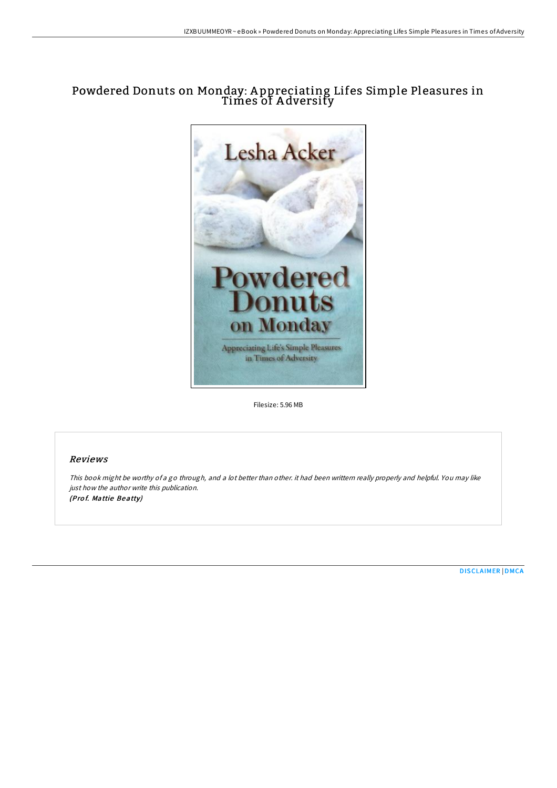# Powdered Donuts on Monday: A ppreciating Lifes Simple Pleasures in Times of A dversity



Filesize: 5.96 MB

## Reviews

This book might be worthy of <sup>a</sup> go through, and <sup>a</sup> lot better than other. it had been writtern really properly and helpful. You may like just how the author write this publication. (Prof. Mattie Beatty)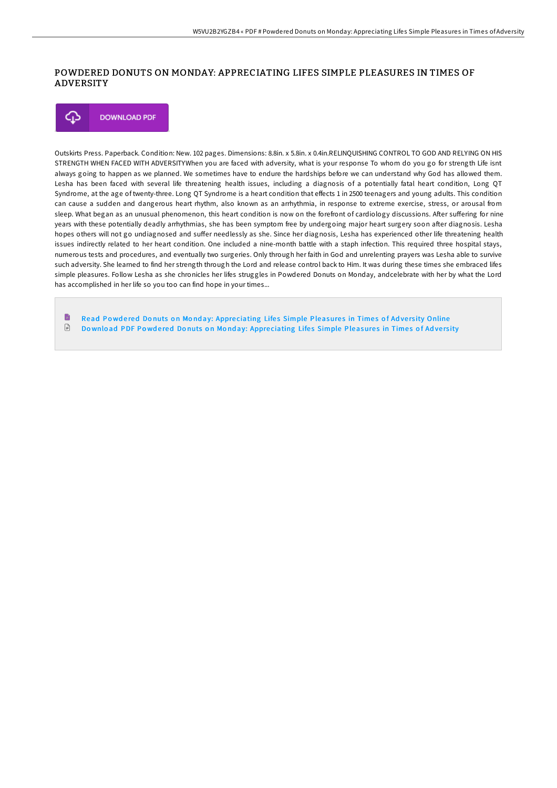### POWDERED DONUTS ON MONDAY: APPRECIATING LIFES SIMPLE PLEASURES IN TIMES OF ADVERSITY

**DOWNLOAD PDF** Φ

Outskirts Press. Paperback. Condition: New. 102 pages. Dimensions: 8.8in. x 5.8in. x 0.4in.RELINQUISHING CONTROL TO GOD AND RELYING ON HIS STRENGTH WHEN FACED WITH ADVERSITYWhen you are faced with adversity, what is your response To whom do you go for strength Life isnt always going to happen as we planned. We sometimes have to endure the hardships before we can understand why God has allowed them. Lesha has been faced with several life threatening health issues, including a diagnosis of a potentially fatal heart condition, Long QT Syndrome, at the age of twenty-three. Long QT Syndrome is a heart condition that effects 1 in 2500 teenagers and young adults. This condition can cause a sudden and dangerous heart rhythm, also known as an arrhythmia, in response to extreme exercise, stress, or arousal from sleep. What began as an unusual phenomenon, this heart condition is now on the forefront of cardiology discussions. After suffering for nine years with these potentially deadly arrhythmias, she has been symptom free by undergoing major heart surgery soon aFer diagnosis. Lesha hopes others will not go undiagnosed and suffer needlessly as she. Since her diagnosis, Lesha has experienced other life threatening health issues indirectly related to her heart condition. One included a nine-month battle with a staph infection. This required three hospital stays, numerous tests and procedures, and eventually two surgeries. Only through her faith in God and unrelenting prayers was Lesha able to survive such adversity. She learned to find her strength through the Lord and release control back to Him. It was during these times she embraced lifes simple pleasures. Follow Lesha as she chronicles her lifes struggles in Powdered Donuts on Monday, andcelebrate with her by what the Lord has accomplished in her life so you too can find hope in your times...

Ð Read Powdered Donuts on Monday: Appreciating Lifes Simple [Pleasure](http://almighty24.tech/powdered-donuts-on-monday-appreciating-lifes-sim.html)s in Times of Adversity Online  $\mathbb{B}$ Download PDF Powdered Donuts on Monday: Appreciating Lifes Simple [Pleasure](http://almighty24.tech/powdered-donuts-on-monday-appreciating-lifes-sim.html)s in Times of Adversity